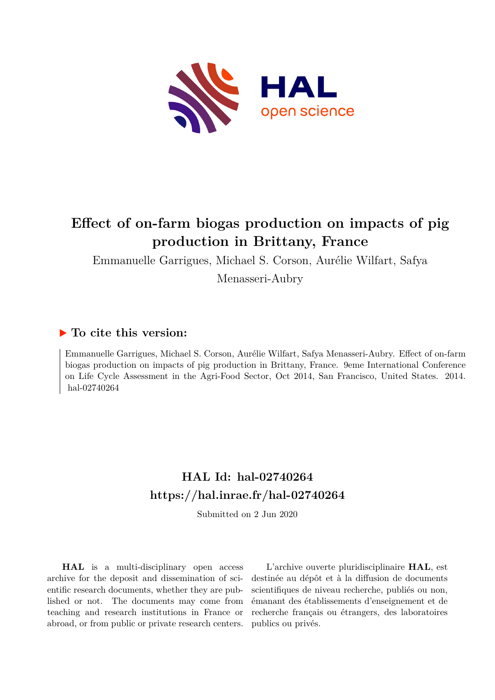

# **Effect of on-farm biogas production on impacts of pig production in Brittany, France**

Emmanuelle Garrigues, Michael S. Corson, Aurélie Wilfart, Safya Menasseri-Aubry

## **To cite this version:**

Emmanuelle Garrigues, Michael S. Corson, Aurélie Wilfart, Safya Menasseri-Aubry. Effect of on-farm biogas production on impacts of pig production in Brittany, France. 9eme International Conference on Life Cycle Assessment in the Agri-Food Sector, Oct 2014, San Francisco, United States. 2014. hal-02740264

# **HAL Id: hal-02740264 <https://hal.inrae.fr/hal-02740264>**

Submitted on 2 Jun 2020

**HAL** is a multi-disciplinary open access archive for the deposit and dissemination of scientific research documents, whether they are published or not. The documents may come from teaching and research institutions in France or abroad, or from public or private research centers.

L'archive ouverte pluridisciplinaire **HAL**, est destinée au dépôt et à la diffusion de documents scientifiques de niveau recherche, publiés ou non, émanant des établissements d'enseignement et de recherche français ou étrangers, des laboratoires publics ou privés.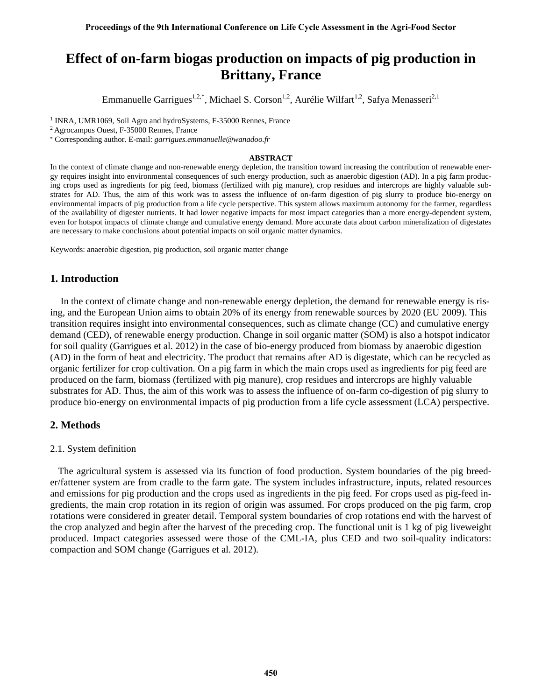# **Effect of on-farm biogas production on impacts of pig production in Brittany, France**

Emmanuelle Garrigues<sup>1,2,\*</sup>, Michael S. Corson<sup>1,2</sup>, Aurélie Wilfart<sup>1,2</sup>, Safya Menasseri<sup>2,1</sup>

<sup>1</sup> INRA, UMR1069, Soil Agro and hydroSystems, F-35000 Rennes, France

<sup>2</sup>Agrocampus Ouest, F-35000 Rennes, France

Corresponding author. E-mail: *garrigues.emmanuelle@wanadoo.fr*

#### **ABSTRACT**

In the context of climate change and non-renewable energy depletion, the transition toward increasing the contribution of renewable energy requires insight into environmental consequences of such energy production, such as anaerobic digestion (AD). In a pig farm producing crops used as ingredients for pig feed, biomass (fertilized with pig manure), crop residues and intercrops are highly valuable substrates for AD. Thus, the aim of this work was to assess the influence of on-farm digestion of pig slurry to produce bio-energy on environmental impacts of pig production from a life cycle perspective. This system allows maximum autonomy for the farmer, regardless of the availability of digester nutrients. It had lower negative impacts for most impact categories than a more energy-dependent system, even for hotspot impacts of climate change and cumulative energy demand. More accurate data about carbon mineralization of digestates are necessary to make conclusions about potential impacts on soil organic matter dynamics.

Keywords: anaerobic digestion, pig production, soil organic matter change

### **1. Introduction**

 In the context of climate change and non-renewable energy depletion, the demand for renewable energy is rising, and the European Union aims to obtain 20% of its energy from renewable sources by 2020 (EU 2009). This transition requires insight into environmental consequences, such as climate change (CC) and cumulative energy demand (CED), of renewable energy production. Change in soil organic matter (SOM) is also a hotspot indicator for soil quality (Garrigues et al. 2012) in the case of bio-energy produced from biomass by anaerobic digestion (AD) in the form of heat and electricity. The product that remains after AD is digestate, which can be recycled as organic fertilizer for crop cultivation. On a pig farm in which the main crops used as ingredients for pig feed are produced on the farm, biomass (fertilized with pig manure), crop residues and intercrops are highly valuable substrates for AD. Thus, the aim of this work was to assess the influence of on-farm co-digestion of pig slurry to produce bio-energy on environmental impacts of pig production from a life cycle assessment (LCA) perspective.

### **2. Methods**

#### 2.1. System definition

The agricultural system is assessed via its function of food production. System boundaries of the pig breeder/fattener system are from cradle to the farm gate. The system includes infrastructure, inputs, related resources and emissions for pig production and the crops used as ingredients in the pig feed. For crops used as pig-feed ingredients, the main crop rotation in its region of origin was assumed. For crops produced on the pig farm, crop rotations were considered in greater detail. Temporal system boundaries of crop rotations end with the harvest of the crop analyzed and begin after the harvest of the preceding crop. The functional unit is 1 kg of pig liveweight produced. Impact categories assessed were those of the CML-IA, plus CED and two soil-quality indicators: compaction and SOM change (Garrigues et al. 2012).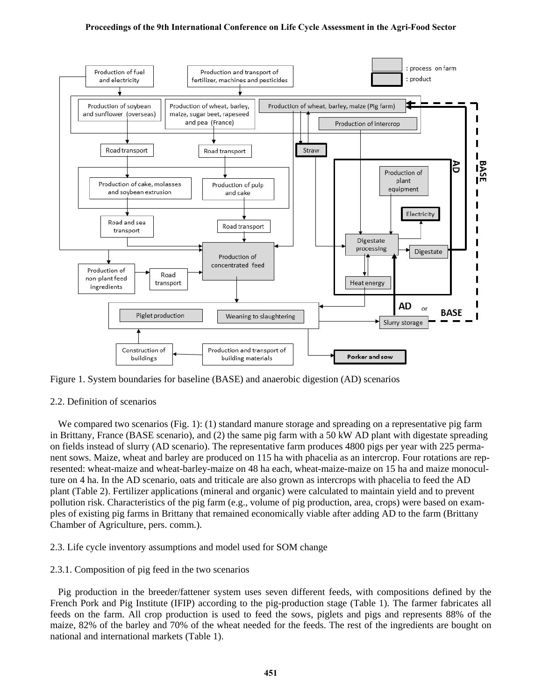#### **Proceedings of the 9th International Conference on Life Cycle Assessment in the Agri-Food Sector**



Figure 1. System boundaries for baseline (BASE) and anaerobic digestion (AD) scenarios

### 2.2. Definition of scenarios

We compared two scenarios (Fig. 1): (1) standard manure storage and spreading on a representative pig farm in Brittany, France (BASE scenario), and (2) the same pig farm with a 50 kW AD plant with digestate spreading on fields instead of slurry (AD scenario). The representative farm produces 4800 pigs per year with 225 permanent sows. Maize, wheat and barley are produced on 115 ha with phacelia as an intercrop. Four rotations are represented: wheat-maize and wheat-barley-maize on 48 ha each, wheat-maize-maize on 15 ha and maize monoculture on 4 ha. In the AD scenario, oats and triticale are also grown as intercrops with phacelia to feed the AD plant (Table 2). Fertilizer applications (mineral and organic) were calculated to maintain yield and to prevent pollution risk. Characteristics of the pig farm (e.g., volume of pig production, area, crops) were based on examples of existing pig farms in Brittany that remained economically viable after adding AD to the farm (Brittany Chamber of Agriculture, pers. comm.).

### 2.3. Life cycle inventory assumptions and model used for SOM change

### 2.3.1. Composition of pig feed in the two scenarios

Pig production in the breeder/fattener system uses seven different feeds, with compositions defined by the French Pork and Pig Institute (IFIP) according to the pig-production stage (Table 1). The farmer fabricates all feeds on the farm. All crop production is used to feed the sows, piglets and pigs and represents 88% of the maize, 82% of the barley and 70% of the wheat needed for the feeds. The rest of the ingredients are bought on national and international markets (Table 1).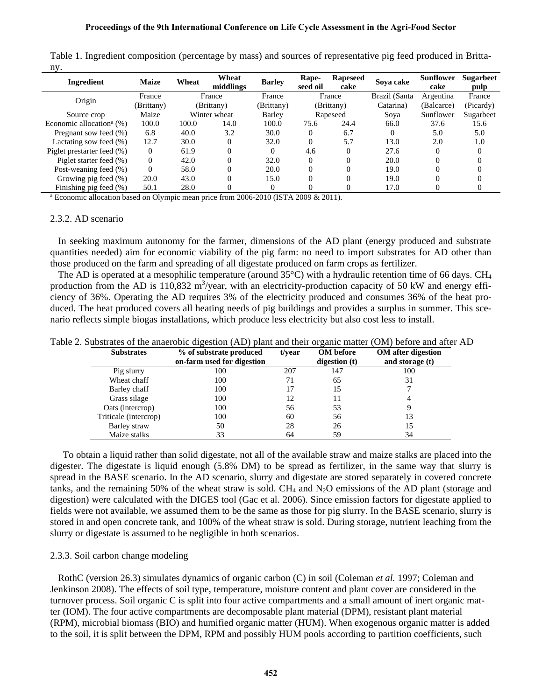| Ingredient                              | <b>Maize</b> | Wheat  | Wheat<br>middlings | <b>Barley</b> | Rape-<br>seed oil | <b>Rapeseed</b><br>cake | Sova cake     | <b>Sunflower</b><br>cake | <b>Sugarbeet</b><br>pulp |
|-----------------------------------------|--------------|--------|--------------------|---------------|-------------------|-------------------------|---------------|--------------------------|--------------------------|
| Origin                                  | France       | France |                    | France        | France            |                         | Brazil (Santa | Argentina                | France                   |
|                                         | (Brittany)   |        | (Brittany)         | (Brittany)    |                   | (Brittany)              | Catarina)     | (Balcarce)               | (Picardy)                |
| Source crop                             | Maize        |        | Winter wheat       | Barley        |                   | Rapeseed                | Soya          | Sunflower                | Sugarbeet                |
| Economic allocation <sup>a</sup> $(\%)$ | 100.0        | 100.0  | 14.0               | 100.0         | 75.6              | 24.4                    | 66.0          | 37.6                     | 15.6                     |
| Pregnant sow feed (%)                   | 6.8          | 40.0   | 3.2                | 30.0          | $\Omega$          | 6.7                     | 0             | 5.0                      | 5.0                      |
| Lactating sow feed (%)                  | 12.7         | 30.0   | $\Omega$           | 32.0          | $\Omega$          | 5.7                     | 13.0          | 2.0                      | 1.0                      |
| Piglet prestarter feed (%)              | $\Omega$     | 61.9   | 0                  | $\Omega$      | 4.6               | $\Omega$                | 27.6          | $\Omega$                 |                          |
| Piglet starter feed (%)                 | $\Omega$     | 42.0   | 0                  | 32.0          | $\Omega$          |                         | 20.0          |                          |                          |
| Post-weaning feed (%)                   | $\Omega$     | 58.0   | $\Omega$           | 20.0          | 0                 | $\Omega$                | 19.0          | 0                        |                          |
| Growing pig feed (%)                    | 20.0         | 43.0   | 0                  | 15.0          | 0                 |                         | 19.0          |                          |                          |
| Finishing pig feed (%)                  | 50.1         | 28.0   | 0                  | 0             |                   |                         | 17.0          |                          |                          |

Table 1. Ingredient composition (percentage by mass) and sources of representative pig feed produced in Brittany.

<sup>a</sup> Economic allocation based on Olympic mean price from 2006-2010 (ISTA 2009 & 2011).

#### 2.3.2. AD scenario

In seeking maximum autonomy for the farmer, dimensions of the AD plant (energy produced and substrate quantities needed) aim for economic viability of the pig farm: no need to import substrates for AD other than those produced on the farm and spreading of all digestate produced on farm crops as fertilizer.

The AD is operated at a mesophilic temperature (around  $35^{\circ}$ C) with a hydraulic retention time of 66 days. CH<sub>4</sub> production from the AD is 110,832 m<sup>3</sup>/year, with an electricity-production capacity of 50 kW and energy efficiency of 36%. Operating the AD requires 3% of the electricity produced and consumes 36% of the heat produced. The heat produced covers all heating needs of pig buildings and provides a surplus in summer. This scenario reflects simple biogas installations, which produce less electricity but also cost less to install.

|  | Table 2. Substrates of the anaerobic digestion (AD) plant and their organic matter (OM) before and after AD |  |  |  |  |
|--|-------------------------------------------------------------------------------------------------------------|--|--|--|--|
|  |                                                                                                             |  |  |  |  |

| <b>Substrates</b>     | % of substrate produced<br>on-farm used for digestion | t/year | <b>OM</b> before<br>digestion $(t)$ | <b>OM</b> after digestion<br>and storage $(t)$ |
|-----------------------|-------------------------------------------------------|--------|-------------------------------------|------------------------------------------------|
| Pig slurry            | 100                                                   | 207    | 147                                 | 100                                            |
| Wheat chaff           | 100                                                   | 71     | 65                                  | 31                                             |
| Barley chaff          | 100                                                   | 17     | 15                                  |                                                |
| Grass silage          | 100                                                   | 12     |                                     |                                                |
| Oats (intercrop)      | 100                                                   | 56     | 53                                  |                                                |
| Triticale (intercrop) | 100                                                   | 60     | 56                                  | 13                                             |
| Barley straw          | 50                                                    | 28     | 26                                  | 15                                             |
| Maize stalks          | 33                                                    | 64     | 59                                  | 34                                             |

To obtain a liquid rather than solid digestate, not all of the available straw and maize stalks are placed into the digester. The digestate is liquid enough (5.8% DM) to be spread as fertilizer, in the same way that slurry is spread in the BASE scenario. In the AD scenario, slurry and digestate are stored separately in covered concrete tanks, and the remaining 50% of the wheat straw is sold. CH<sub>4</sub> and  $N_2O$  emissions of the AD plant (storage and digestion) were calculated with the DIGES tool (Gac et al. 2006). Since emission factors for digestate applied to fields were not available, we assumed them to be the same as those for pig slurry. In the BASE scenario, slurry is stored in and open concrete tank, and 100% of the wheat straw is sold. During storage, nutrient leaching from the slurry or digestate is assumed to be negligible in both scenarios.

#### 2.3.3. Soil carbon change modeling

RothC (version 26.3) simulates dynamics of organic carbon (C) in soil [\(Coleman](#page-5-0) *et al.* 1997; [Coleman and](#page-5-1)  [Jenkinson 2008\)](#page-5-1). The effects of soil type, temperature, moisture content and plant cover are considered in the turnover process. Soil organic C is split into four active compartments and a small amount of inert organic matter (IOM). The four active compartments are decomposable plant material (DPM), resistant plant material (RPM), microbial biomass (BIO) and humified organic matter (HUM). When exogenous organic matter is added to the soil, it is split between the DPM, RPM and possibly HUM pools according to partition coefficients, such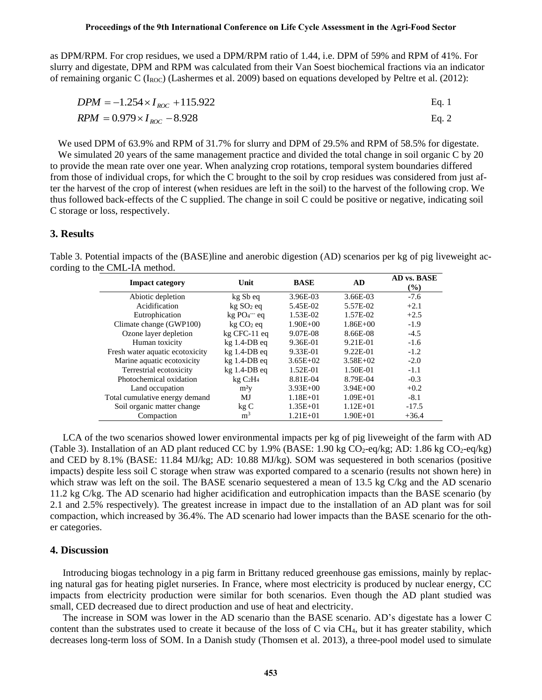as DPM/RPM. For crop residues, we used a DPM/RPM ratio of 1.44, i.e. DPM of 59% and RPM of 41%. For slurry and digestate, DPM and RPM was calculated from their Van Soest biochemical fractions via an indicator of remaining organic C ( $I_{ROC}$ ) (Lashermes et al. 2009) based on equations developed by Peltre et al. (2012):

$$
DPM = -1.254 \times I_{ROC} + 115.922
$$
  
 
$$
RPM = 0.979 \times I_{ROC} - 8.928
$$
 Eq. 2

We used DPM of 63.9% and RPM of 31.7% for slurry and DPM of 29.5% and RPM of 58.5% for digestate.

We simulated 20 years of the same management practice and divided the total change in soil organic C by 20 to provide the mean rate over one year. When analyzing crop rotations, temporal system boundaries differed from those of individual crops, for which the C brought to the soil by crop residues was considered from just after the harvest of the crop of interest (when residues are left in the soil) to the harvest of the following crop. We thus followed back-effects of the C supplied. The change in soil C could be positive or negative, indicating soil C storage or loss, respectively.

### **3. Results**

Table 3. Potential impacts of the (BASE)line and anerobic digestion (AD) scenarios per kg of pig liveweight according to the CML-IA method.

| <b>Impact category</b>          | Unit                            | <b>BASE</b>  | AD           | AD vs. BASE |
|---------------------------------|---------------------------------|--------------|--------------|-------------|
|                                 |                                 |              |              | $(\%)$      |
| Abiotic depletion               | kg Sb eq                        | 3.96E-03     | 3.66E-03     | $-7.6$      |
| Acidification                   | $kg SO2$ eq                     | 5.45E-02     | 5.57E-02     | $+2.1$      |
| Eutrophication                  | kg PO <sub>4</sub> – eq         | 1.53E-02     | 1.57E-02     | $+2.5$      |
| Climate change (GWP100)         | $kg CO2$ eq                     | $1.90E + 00$ | $1.86E + 00$ | $-1.9$      |
| Ozone layer depletion           | $kg$ CFC-11 $eq$                | 9.07E-08     | 8.66E-08     | $-4.5$      |
| Human toxicity                  | $kg$ 1.4-DB eq                  | 9.36E-01     | 9.21E-01     | $-1.6$      |
| Fresh water aquatic ecotoxicity | $kg$ 1.4-DB eq                  | 9.33E-01     | 9.22E-01     | $-1.2$      |
| Marine aquatic ecotoxicity      | $kg$ 1.4-DB eq                  | $3.65E+02$   | $3.58E + 02$ | $-2.0$      |
| Terrestrial ecotoxicity         | $kg$ 1.4-DB eq                  | 1.52E-01     | 1.50E-01     | $-1.1$      |
| Photochemical oxidation         | kgC <sub>2</sub> H <sub>4</sub> | 8.81E-04     | 8.79E-04     | $-0.3$      |
| Land occupation                 | m <sup>2</sup> v                | $3.93E + 00$ | $3.94E + 00$ | $+0.2$      |
| Total cumulative energy demand  | MJ                              | $1.18E + 01$ | $1.09E + 01$ | $-8.1$      |
| Soil organic matter change      | kgC                             | $1.35E + 01$ | $1.12E + 01$ | $-17.5$     |
| Compaction                      | m <sup>3</sup>                  | $1.21E + 01$ | $1.90E + 01$ | $+36.4$     |

LCA of the two scenarios showed lower environmental impacts per kg of pig liveweight of the farm with AD (Table 3). Installation of an AD plant reduced CC by 1.9% (BASE: 1.90 kg  $CO_2$ -eq/kg; AD: 1.86 kg  $CO_2$ -eq/kg) and CED by 8.1% (BASE: 11.84 MJ/kg; AD: 10.88 MJ/kg). SOM was sequestered in both scenarios (positive impacts) despite less soil C storage when straw was exported compared to a scenario (results not shown here) in which straw was left on the soil. The BASE scenario sequestered a mean of 13.5 kg C/kg and the AD scenario 11.2 kg C/kg. The AD scenario had higher acidification and eutrophication impacts than the BASE scenario (by 2.1 and 2.5% respectively). The greatest increase in impact due to the installation of an AD plant was for soil compaction, which increased by 36.4%. The AD scenario had lower impacts than the BASE scenario for the other categories.

#### **4. Discussion**

Introducing biogas technology in a pig farm in Brittany reduced greenhouse gas emissions, mainly by replacing natural gas for heating piglet nurseries. In France, where most electricity is produced by nuclear energy, CC impacts from electricity production were similar for both scenarios. Even though the AD plant studied was small, CED decreased due to direct production and use of heat and electricity.

The increase in SOM was lower in the AD scenario than the BASE scenario. AD's digestate has a lower C content than the substrates used to create it because of the loss of C via CH4, but it has greater stability, which decreases long-term loss of SOM. In a Danish study (Thomsen et al. 2013), a three-pool model used to simulate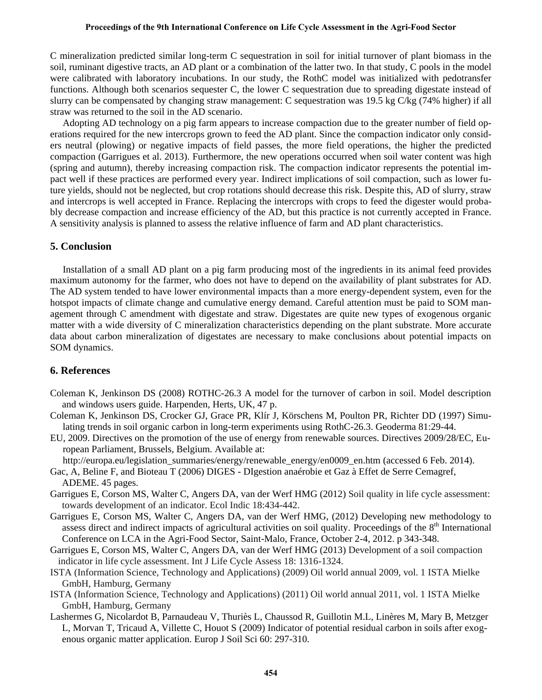#### **Proceedings of the 9th International Conference on Life Cycle Assessment in the Agri-Food Sector**

C mineralization predicted similar long-term C sequestration in soil for initial turnover of plant biomass in the soil, ruminant digestive tracts, an AD plant or a combination of the latter two. In that study, C pools in the model were calibrated with laboratory incubations. In our study, the RothC model was initialized with pedotransfer functions. Although both scenarios sequester C, the lower C sequestration due to spreading digestate instead of slurry can be compensated by changing straw management: C sequestration was 19.5 kg C/kg (74% higher) if all straw was returned to the soil in the AD scenario.

Adopting AD technology on a pig farm appears to increase compaction due to the greater number of field operations required for the new intercrops grown to feed the AD plant. Since the compaction indicator only considers neutral (plowing) or negative impacts of field passes, the more field operations, the higher the predicted compaction (Garrigues et al. 2013). Furthermore, the new operations occurred when soil water content was high (spring and autumn), thereby increasing compaction risk. The compaction indicator represents the potential impact well if these practices are performed every year. Indirect implications of soil compaction, such as lower future yields, should not be neglected, but crop rotations should decrease this risk. Despite this, AD of slurry, straw and intercrops is well accepted in France. Replacing the intercrops with crops to feed the digester would probably decrease compaction and increase efficiency of the AD, but this practice is not currently accepted in France. A sensitivity analysis is planned to assess the relative influence of farm and AD plant characteristics.

### **5. Conclusion**

Installation of a small AD plant on a pig farm producing most of the ingredients in its animal feed provides maximum autonomy for the farmer, who does not have to depend on the availability of plant substrates for AD. The AD system tended to have lower environmental impacts than a more energy-dependent system, even for the hotspot impacts of climate change and cumulative energy demand. Careful attention must be paid to SOM management through C amendment with digestate and straw. Digestates are quite new types of exogenous organic matter with a wide diversity of C mineralization characteristics depending on the plant substrate. More accurate data about carbon mineralization of digestates are necessary to make conclusions about potential impacts on SOM dynamics.

### **6. References**

- <span id="page-5-1"></span>Coleman K, Jenkinson DS (2008) ROTHC-26.3 A model for the turnover of carbon in soil. Model description and windows users guide. Harpenden, Herts, UK, 47 p.
- <span id="page-5-0"></span>Coleman K, Jenkinson DS, Crocker GJ, Grace PR, Klír J, Körschens M, Poulton PR, Richter DD (1997) Simulating trends in soil organic carbon in long-term experiments using RothC-26.3. Geoderma 81:29-44.
- EU, 2009. Directives on the promotion of the use of energy from renewable sources. Directives 2009/28/EC, European Parliament, Brussels, Belgium. Available at:

http://europa.eu/legislation\_summaries/energy/renewable\_energy/en0009\_en.htm (accessed 6 Feb. 2014).

- Gac, A, Beline F, and Bioteau T (2006) DIGES DIgestion anaérobie et Gaz à Effet de Serre Cemagref, ADEME. 45 pages.
- Garrigues E, Corson MS, Walter C, Angers DA, van der Werf HMG (2012) Soil quality in life cycle assessment: towards development of an indicator. Ecol Indic 18:434-442.
- Garrigues E, Corson MS, Walter C, Angers DA, van der Werf HMG, (2012) Developing new methodology to assess direct and indirect impacts of agricultural activities on soil quality. Proceedings of the  $8<sup>th</sup>$  International Conference on LCA in the Agri-Food Sector, Saint-Malo, France, October 2-4, 2012. p 343-348.
- Garrigues E, Corson MS, Walter C, Angers DA, van der Werf HMG (2013) Development of a soil compaction indicator in life cycle assessment. Int J Life Cycle Assess 18: 1316-1324.
- ISTA (Information Science, Technology and Applications) (2009) Oil world annual 2009, vol. 1 ISTA Mielke GmbH, Hamburg, Germany
- ISTA (Information Science, Technology and Applications) (2011) Oil world annual 2011, vol. 1 ISTA Mielke GmbH, Hamburg, Germany
- Lashermes G, Nicolardot B, Parnaudeau V, Thuriès L, Chaussod R, Guillotin M.L, Linères M, Mary B, Metzger L, Morvan T, Tricaud A, Villette C, Houot S (2009) Indicator of potential residual carbon in soils after exogenous organic matter application. Europ J Soil Sci 60: 297-310.